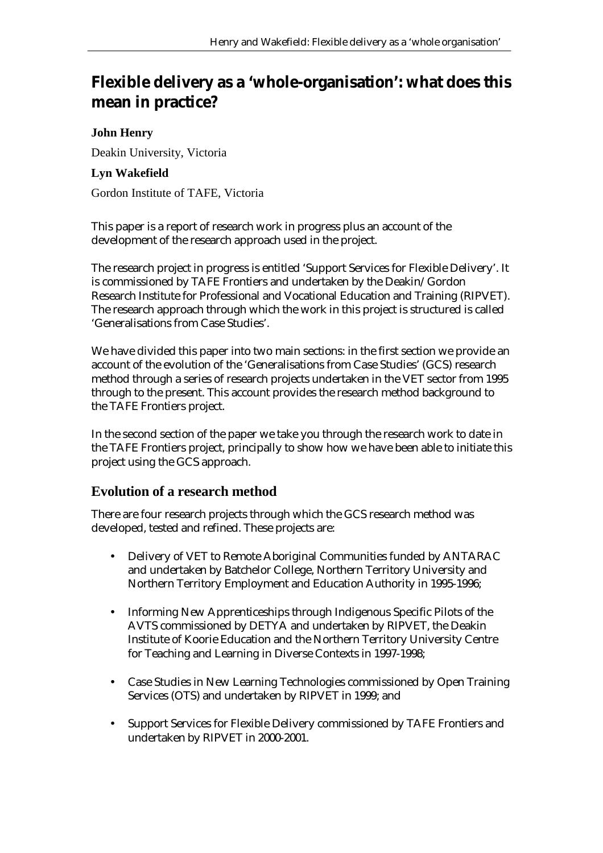# **Flexible delivery as a 'whole-organisation': what does this mean in practice?**

#### **John Henry**

Deakin University, Victoria

#### **Lyn Wakefield**

Gordon Institute of TAFE, Victoria

This paper is a report of research work in progress plus an account of the development of the research approach used in the project.

The research project in progress is entitled 'Support Services for Flexible Delivery'. It is commissioned by TAFE Frontiers and undertaken by the Deakin/Gordon Research Institute for Professional and Vocational Education and Training (RIPVET). The research approach through which the work in this project is structured is called 'Generalisations from Case Studies'.

We have divided this paper into two main sections: in the first section we provide an account of the evolution of the 'Generalisations from Case Studies' (GCS) research method through a series of research projects undertaken in the VET sector from 1995 through to the present. This account provides the research method background to the TAFE Frontiers project.

In the second section of the paper we take you through the research work to date in the TAFE Frontiers project, principally to show how we have been able to initiate this project using the GCS approach.

## **Evolution of a research method**

There are four research projects through which the GCS research method was developed, tested and refined. These projects are:

- Delivery of VET to Remote Aboriginal Communities funded by ANTARAC and undertaken by Batchelor College, Northern Territory University and Northern Territory Employment and Education Authority in 1995-1996;
- Informing New Apprenticeships through Indigenous Specific Pilots of the AVTS commissioned by DETYA and undertaken by RIPVET, the Deakin Institute of Koorie Education and the Northern Territory University Centre for Teaching and Learning in Diverse Contexts in 1997-1998;
- Case Studies in New Learning Technologies commissioned by Open Training Services (OTS) and undertaken by RIPVET in 1999; and
- Support Services for Flexible Delivery commissioned by TAFE Frontiers and undertaken by RIPVET in 2000-2001.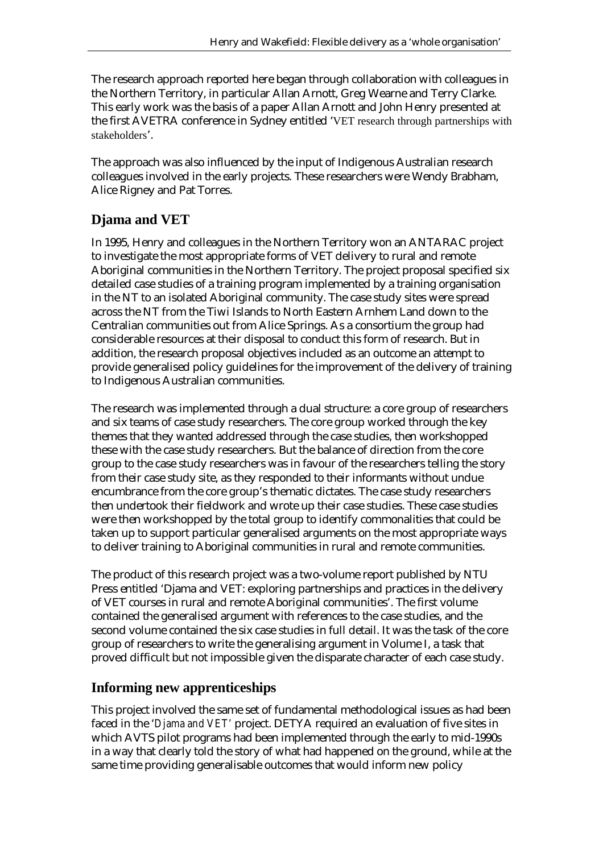The research approach reported here began through collaboration with colleagues in the Northern Territory, in particular Allan Arnott, Greg Wearne and Terry Clarke. This early work was the basis of a paper Allan Arnott and John Henry presented at the first AVETRA conference in Sydney entitled 'VET research through partnerships with stakeholders'.

The approach was also influenced by the input of Indigenous Australian research colleagues involved in the early projects. These researchers were Wendy Brabham, Alice Rigney and Pat Torres.

## **Djama and VET**

In 1995, Henry and colleagues in the Northern Territory won an ANTARAC project to investigate the most appropriate forms of VET delivery to rural and remote Aboriginal communities in the Northern Territory. The project proposal specified six detailed case studies of a training program implemented by a training organisation in the NT to an isolated Aboriginal community. The case study sites were spread across the NT from the Tiwi Islands to North Eastern Arnhem Land down to the Centralian communities out from Alice Springs. As a consortium the group had considerable resources at their disposal to conduct this form of research. But in addition, the research proposal objectives included as an outcome an attempt to provide generalised policy guidelines for the improvement of the delivery of training to Indigenous Australian communities.

The research was implemented through a dual structure: a core group of researchers and six teams of case study researchers. The core group worked through the key themes that they wanted addressed through the case studies, then workshopped these with the case study researchers. But the balance of direction from the core group to the case study researchers was in favour of the researchers telling the story from their case study site, as they responded to their informants without undue encumbrance from the core group's thematic dictates. The case study researchers then undertook their fieldwork and wrote up their case studies. These case studies were then workshopped by the total group to identify commonalities that could be taken up to support particular generalised arguments on the most appropriate ways to deliver training to Aboriginal communities in rural and remote communities.

The product of this research project was a two-volume report published by NTU Press entitled 'Djama and VET: exploring partnerships and practices in the delivery of VET courses in rural and remote Aboriginal communities'. The first volume contained the generalised argument with references to the case studies, and the second volume contained the six case studies in full detail. It was the task of the core group of researchers to write the generalising argument in Volume I, a task that proved difficult but not impossible given the disparate character of each case study.

## **Informing new apprenticeships**

This project involved the same set of fundamental methodological issues as had been faced in the '*Djama and VET'* project. DETYA required an evaluation of five sites in which AVTS pilot programs had been implemented through the early to mid-1990s in a way that clearly told the story of what had happened on the ground, while at the same time providing generalisable outcomes that would inform new policy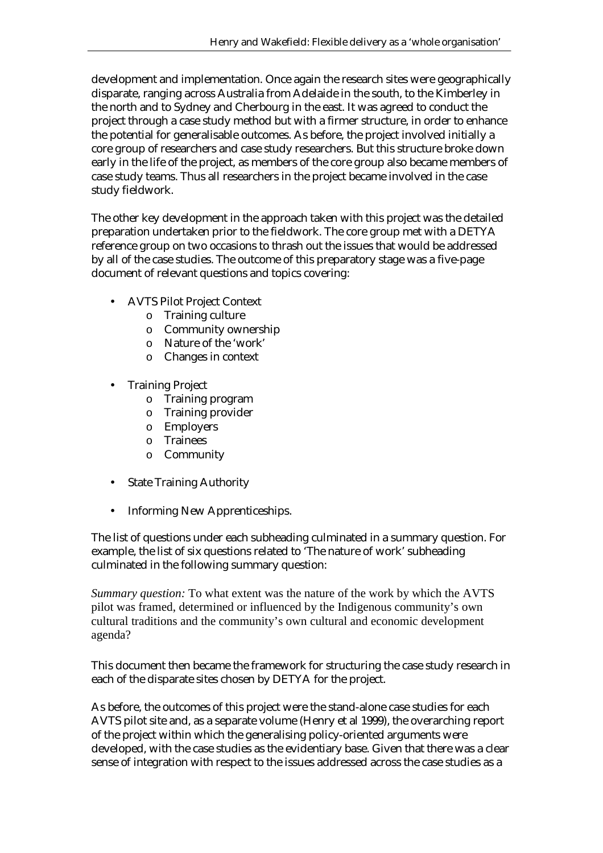development and implementation. Once again the research sites were geographically disparate, ranging across Australia from Adelaide in the south, to the Kimberley in the north and to Sydney and Cherbourg in the east. It was agreed to conduct the project through a case study method but with a firmer structure, in order to enhance the potential for generalisable outcomes. As before, the project involved initially a core group of researchers and case study researchers. But this structure broke down early in the life of the project, as members of the core group also became members of case study teams. Thus all researchers in the project became involved in the case study fieldwork.

The other key development in the approach taken with this project was the detailed preparation undertaken prior to the fieldwork. The core group met with a DETYA reference group on two occasions to thrash out the issues that would be addressed by all of the case studies. The outcome of this preparatory stage was a five-page document of relevant questions and topics covering:

- AVTS Pilot Project Context
	- o Training culture
	- o Community ownership
	- o Nature of the 'work'
	- o Changes in context
- Training Project
	- o Training program
	- o Training provider
	- o Employers
	- o Trainees
	- o Community
- **State Training Authority**
- Informing New Apprenticeships.

The list of questions under each subheading culminated in a summary question. For example, the list of six questions related to 'The nature of work' subheading culminated in the following summary question:

*Summary question:* To what extent was the nature of the work by which the AVTS pilot was framed, determined or influenced by the Indigenous community's own cultural traditions and the community's own cultural and economic development agenda?

This document then became the framework for structuring the case study research in each of the disparate sites chosen by DETYA for the project.

As before, the outcomes of this project were the stand-alone case studies for each AVTS pilot site and, as a separate volume (Henry et al 1999), the overarching report of the project within which the generalising policy-oriented arguments were developed, with the case studies as the evidentiary base. Given that there was a clear sense of integration with respect to the issues addressed across the case studies as a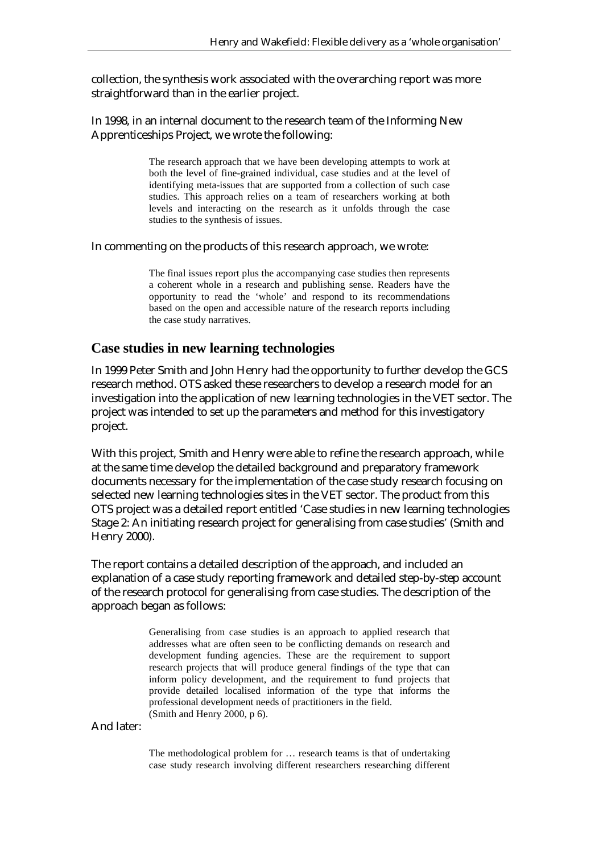collection, the synthesis work associated with the overarching report was more straightforward than in the earlier project.

In 1998, in an internal document to the research team of the Informing New Apprenticeships Project, we wrote the following:

> The research approach that we have been developing attempts to work at both the level of fine-grained individual, case studies and at the level of identifying meta-issues that are supported from a collection of such case studies. This approach relies on a team of researchers working at both levels and interacting on the research as it unfolds through the case studies to the synthesis of issues.

In commenting on the products of this research approach, we wrote:

The final issues report plus the accompanying case studies then represents a coherent whole in a research and publishing sense. Readers have the opportunity to read the 'whole' and respond to its recommendations based on the open and accessible nature of the research reports including the case study narratives.

#### **Case studies in new learning technologies**

In 1999 Peter Smith and John Henry had the opportunity to further develop the GCS research method. OTS asked these researchers to develop a research model for an investigation into the application of new learning technologies in the VET sector. The project was intended to set up the parameters and method for this investigatory project.

With this project, Smith and Henry were able to refine the research approach, while at the same time develop the detailed background and preparatory framework documents necessary for the implementation of the case study research focusing on selected new learning technologies sites in the VET sector. The product from this OTS project was a detailed report entitled 'Case studies in new learning technologies Stage 2: An initiating research project for generalising from case studies' (Smith and Henry 2000).

The report contains a detailed description of the approach, and included an explanation of a case study reporting framework and detailed step-by-step account of the research protocol for generalising from case studies. The description of the approach began as follows:

> Generalising from case studies is an approach to applied research that addresses what are often seen to be conflicting demands on research and development funding agencies. These are the requirement to support research projects that will produce general findings of the type that can inform policy development, and the requirement to fund projects that provide detailed localised information of the type that informs the professional development needs of practitioners in the field. (Smith and Henry 2000, p 6).

And later:

The methodological problem for … research teams is that of undertaking case study research involving different researchers researching different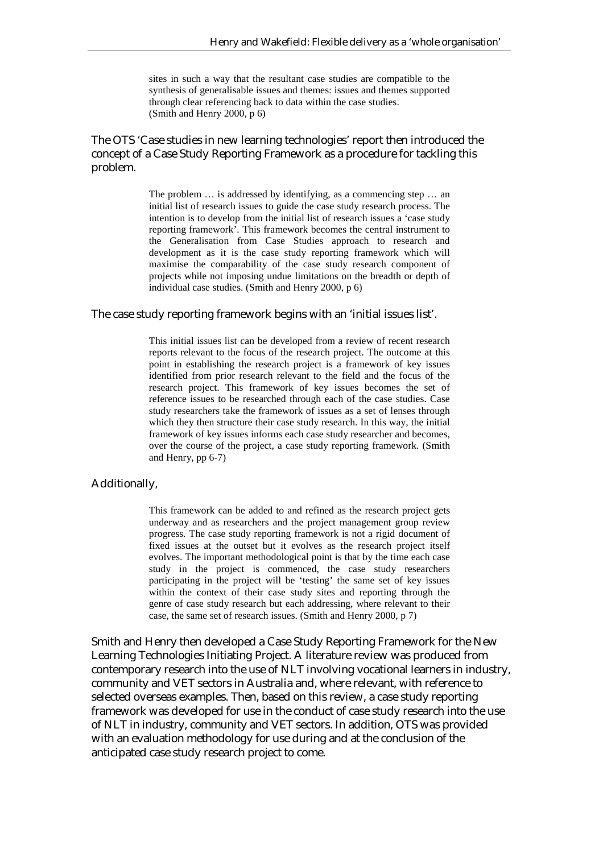sites in such a way that the resultant case studies are compatible to the synthesis of generalisable issues and themes: issues and themes supported through clear referencing back to data within the case studies. (Smith and Henry 2000, p 6)

#### The OTS 'Case studies in new learning technologies' report then introduced the concept of a Case Study Reporting Framework as a procedure for tackling this problem.

The problem … is addressed by identifying, as a commencing step … an initial list of research issues to guide the case study research process. The intention is to develop from the initial list of research issues a 'case study reporting framework'. This framework becomes the central instrument to the Generalisation from Case Studies approach to research and development as it is the case study reporting framework which will maximise the comparability of the case study research component of projects while not imposing undue limitations on the breadth or depth of individual case studies. (Smith and Henry 2000, p 6)

#### The case study reporting framework begins with an 'initial issues list'.

This initial issues list can be developed from a review of recent research reports relevant to the focus of the research project. The outcome at this point in establishing the research project is a framework of key issues identified from prior research relevant to the field and the focus of the research project. This framework of key issues becomes the set of reference issues to be researched through each of the case studies. Case study researchers take the framework of issues as a set of lenses through which they then structure their case study research. In this way, the initial framework of key issues informs each case study researcher and becomes, over the course of the project, a case study reporting framework. (Smith and Henry, pp 6-7)

#### Additionally,

This framework can be added to and refined as the research project gets underway and as researchers and the project management group review progress. The case study reporting framework is not a rigid document of fixed issues at the outset but it evolves as the research project itself evolves. The important methodological point is that by the time each case study in the project is commenced, the case study researchers participating in the project will be 'testing' the same set of key issues within the context of their case study sites and reporting through the genre of case study research but each addressing, where relevant to their case, the same set of research issues. (Smith and Henry 2000, p 7)

Smith and Henry then developed a Case Study Reporting Framework for the New Learning Technologies Initiating Project. A literature review was produced from contemporary research into the use of NLT involving vocational learners in industry, community and VET sectors in Australia and, where relevant, with reference to selected overseas examples. Then, based on this review, a case study reporting framework was developed for use in the conduct of case study research into the use of NLT in industry, community and VET sectors. In addition, OTS was provided with an evaluation methodology for use during and at the conclusion of the anticipated case study research project to come.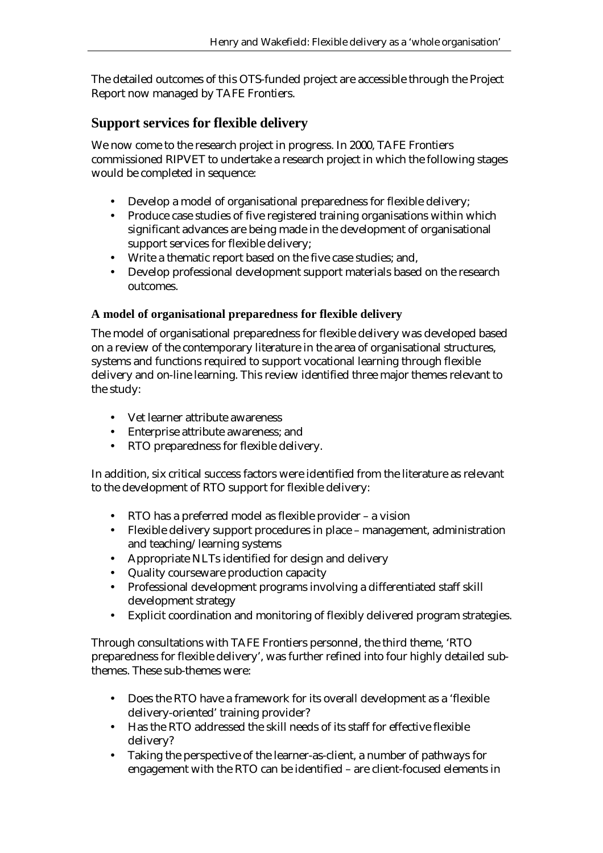The detailed outcomes of this OTS-funded project are accessible through the Project Report now managed by TAFE Frontiers.

## **Support services for flexible delivery**

We now come to the research project in progress. In 2000, TAFE Frontiers commissioned RIPVET to undertake a research project in which the following stages would be completed in sequence:

- Develop a model of organisational preparedness for flexible delivery;
- Produce case studies of five registered training organisations within which significant advances are being made in the development of organisational support services for flexible delivery;
- Write a thematic report based on the five case studies; and,
- Develop professional development support materials based on the research outcomes.

### **A model of organisational preparedness for flexible delivery**

The model of organisational preparedness for flexible delivery was developed based on a review of the contemporary literature in the area of organisational structures, systems and functions required to support vocational learning through flexible delivery and on-line learning. This review identified three major themes relevant to the study:

- Vet learner attribute awareness
- Enterprise attribute awareness; and
- RTO preparedness for flexible delivery.

In addition, six critical success factors were identified from the literature as relevant to the development of RTO support for flexible delivery:

- RTO has a preferred model as flexible provider a vision
- Flexible delivery support procedures in place management, administration and teaching/learning systems
- Appropriate NLTs identified for design and delivery
- Quality courseware production capacity
- Professional development programs involving a differentiated staff skill development strategy
- Explicit coordination and monitoring of flexibly delivered program strategies.

Through consultations with TAFE Frontiers personnel, the third theme, 'RTO preparedness for flexible delivery', was further refined into four highly detailed subthemes. These sub-themes were:

- Does the RTO have a framework for its overall development as a 'flexible delivery-oriented' training provider?
- Has the RTO addressed the skill needs of its staff for effective flexible delivery?
- Taking the perspective of the learner-as-client, a number of pathways for engagement with the RTO can be identified – are client-focused elements in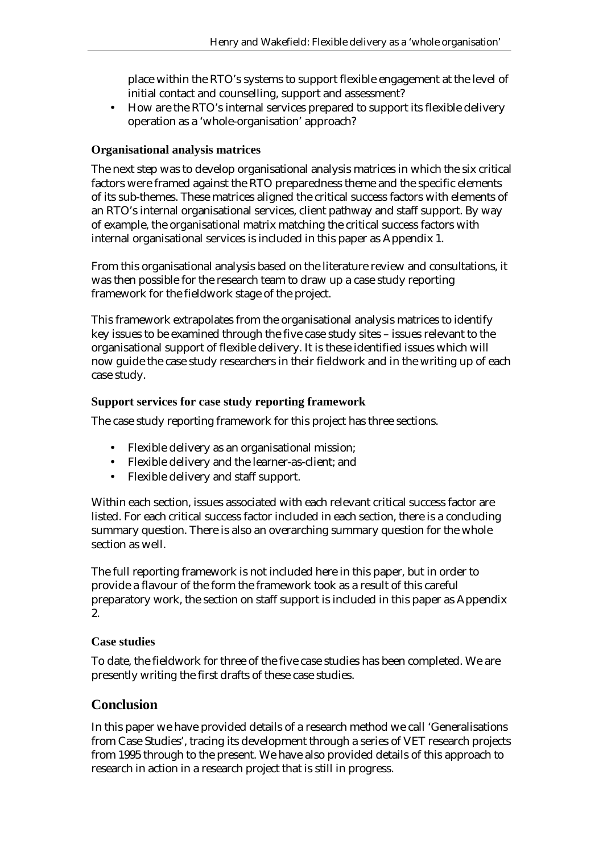place within the RTO's systems to support flexible engagement at the level of initial contact and counselling, support and assessment?

• How are the RTO's internal services prepared to support its flexible delivery operation as a 'whole-organisation' approach?

#### **Organisational analysis matrices**

The next step was to develop organisational analysis matrices in which the six critical factors were framed against the RTO preparedness theme and the specific elements of its sub-themes. These matrices aligned the critical success factors with elements of an RTO's internal organisational services, client pathway and staff support. By way of example, the organisational matrix matching the critical success factors with internal organisational services is included in this paper as Appendix 1.

From this organisational analysis based on the literature review and consultations, it was then possible for the research team to draw up a case study reporting framework for the fieldwork stage of the project.

This framework extrapolates from the organisational analysis matrices to identify key issues to be examined through the five case study sites – issues relevant to the organisational support of flexible delivery. It is these identified issues which will now guide the case study researchers in their fieldwork and in the writing up of each case study.

#### **Support services for case study reporting framework**

The case study reporting framework for this project has three sections.

- Flexible delivery as an organisational mission;
- Flexible delivery and the learner-as-client; and
- Flexible delivery and staff support.

Within each section, issues associated with each relevant critical success factor are listed. For each critical success factor included in each section, there is a concluding summary question. There is also an overarching summary question for the whole section as well.

The full reporting framework is not included here in this paper, but in order to provide a flavour of the form the framework took as a result of this careful preparatory work, the section on staff support is included in this paper as Appendix 2.

#### **Case studies**

To date, the fieldwork for three of the five case studies has been completed. We are presently writing the first drafts of these case studies.

#### **Conclusion**

In this paper we have provided details of a research method we call 'Generalisations from Case Studies', tracing its development through a series of VET research projects from 1995 through to the present. We have also provided details of this approach to research in action in a research project that is still in progress.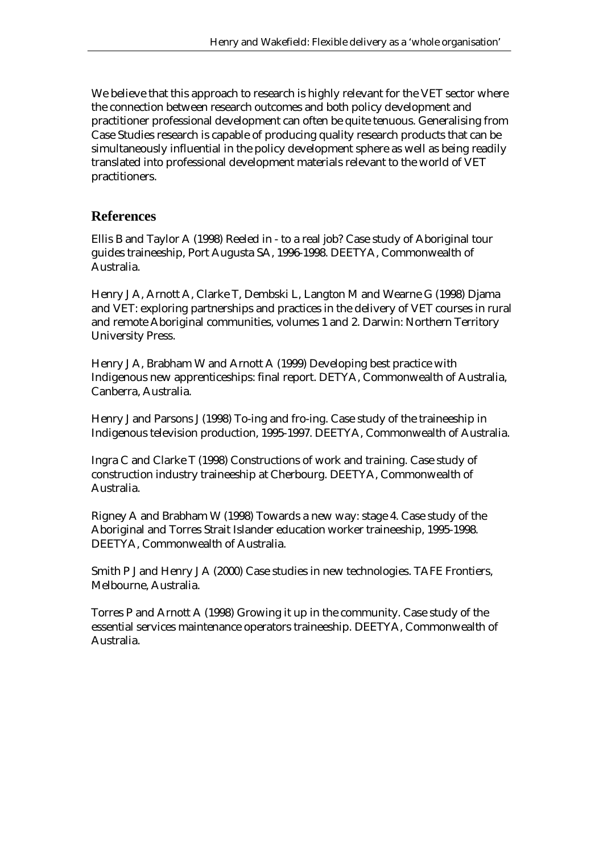We believe that this approach to research is highly relevant for the VET sector where the connection between research outcomes and both policy development and practitioner professional development can often be quite tenuous. Generalising from Case Studies research is capable of producing quality research products that can be simultaneously influential in the policy development sphere as well as being readily translated into professional development materials relevant to the world of VET practitioners.

### **References**

Ellis B and Taylor A (1998) Reeled in - to a real job? Case study of Aboriginal tour guides traineeship, Port Augusta SA, 1996-1998. DEETYA, Commonwealth of Australia.

Henry J A, Arnott A, Clarke T, Dembski L, Langton M and Wearne G (1998) Djama and VET: exploring partnerships and practices in the delivery of VET courses in rural and remote Aboriginal communities, volumes 1 and 2. Darwin: Northern Territory University Press.

Henry J A, Brabham W and Arnott A (1999) Developing best practice with Indigenous new apprenticeships: final report. DETYA, Commonwealth of Australia, Canberra, Australia.

Henry J and Parsons J (1998) To-ing and fro-ing. Case study of the traineeship in Indigenous television production, 1995-1997. DEETYA, Commonwealth of Australia.

Ingra C and Clarke T (1998) Constructions of work and training. Case study of construction industry traineeship at Cherbourg. DEETYA, Commonwealth of Australia.

Rigney A and Brabham W (1998) Towards a new way: stage 4. Case study of the Aboriginal and Torres Strait Islander education worker traineeship, 1995-1998. DEETYA, Commonwealth of Australia.

Smith P J and Henry J A (2000) Case studies in new technologies. TAFE Frontiers, Melbourne, Australia.

Torres P and Arnott A (1998) Growing it up in the community. Case study of the essential services maintenance operators traineeship. DEETYA, Commonwealth of Australia.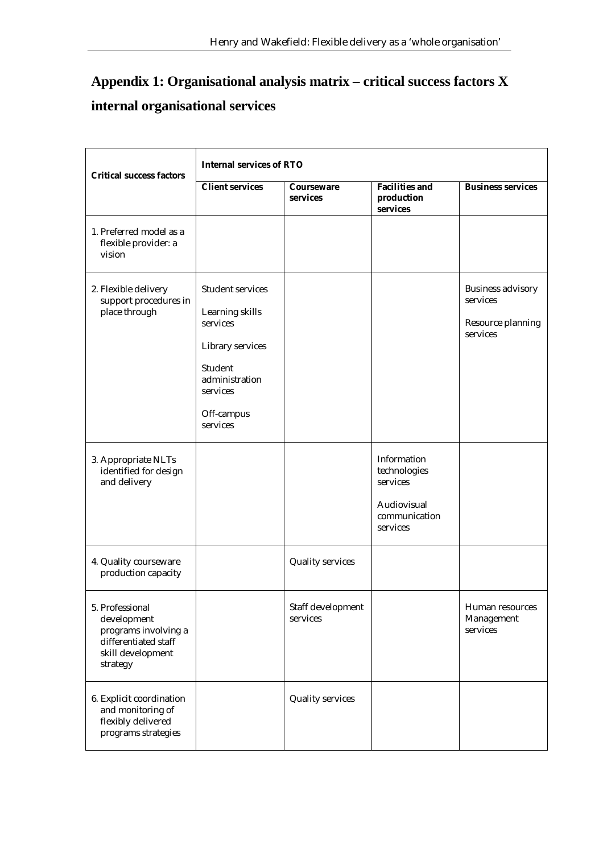# **Appendix 1: Organisational analysis matrix – critical success factors X internal organisational services**

| <b>Critical success factors</b>                                                                                 | <b>Internal services of RTO</b>                                                                                                        |                               |                                                                                     |                                                                       |
|-----------------------------------------------------------------------------------------------------------------|----------------------------------------------------------------------------------------------------------------------------------------|-------------------------------|-------------------------------------------------------------------------------------|-----------------------------------------------------------------------|
|                                                                                                                 | <b>Client services</b>                                                                                                                 | Courseware<br>services        | <b>Facilities and</b><br>production<br>services                                     | <b>Business services</b>                                              |
| 1. Preferred model as a<br>flexible provider: a<br>vision                                                       |                                                                                                                                        |                               |                                                                                     |                                                                       |
| 2. Flexible delivery<br>support procedures in<br>place through                                                  | Student services<br>Learning skills<br>services<br>Library services<br>Student<br>administration<br>services<br>Off-campus<br>services |                               |                                                                                     | <b>Business advisory</b><br>services<br>Resource planning<br>services |
| 3. Appropriate NLTs<br>identified for design<br>and delivery                                                    |                                                                                                                                        |                               | Information<br>technologies<br>services<br>Audiovisual<br>communication<br>services |                                                                       |
| 4. Quality courseware<br>production capacity                                                                    |                                                                                                                                        | <b>Quality services</b>       |                                                                                     |                                                                       |
| 5. Professional<br>development<br>programs involving a<br>differentiated staff<br>skill development<br>strategy |                                                                                                                                        | Staff development<br>services |                                                                                     | Human resources<br>Management<br>services                             |
| 6. Explicit coordination<br>and monitoring of<br>flexibly delivered<br>programs strategies                      |                                                                                                                                        | <b>Quality services</b>       |                                                                                     |                                                                       |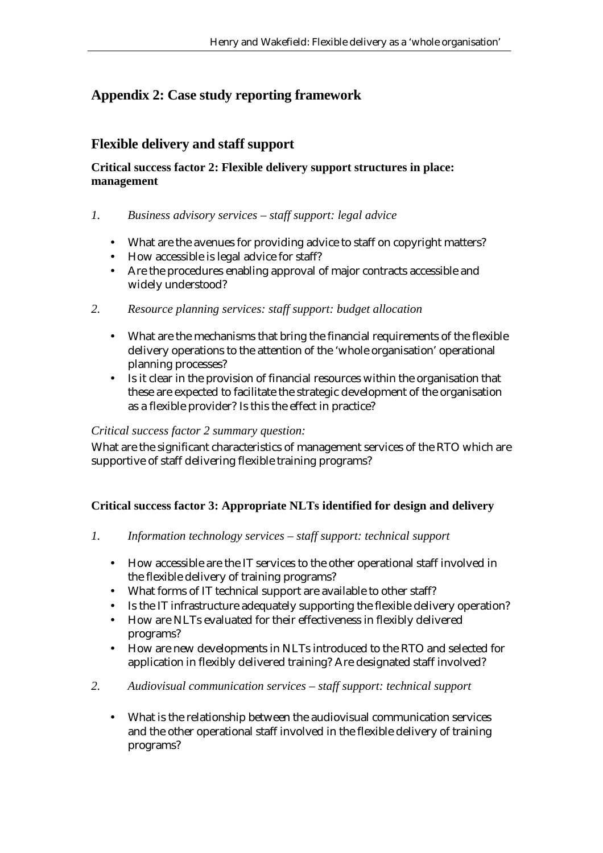## **Appendix 2: Case study reporting framework**

## **Flexible delivery and staff support**

#### **Critical success factor 2: Flexible delivery support structures in place: management**

- *1. Business advisory services staff support: legal advice* 
	- What are the avenues for providing advice to staff on copyright matters?
	- How accessible is legal advice for staff?
	- Are the procedures enabling approval of major contracts accessible and widely understood?
- *2. Resource planning services: staff support: budget allocation* 
	- What are the mechanisms that bring the financial requirements of the flexible delivery operations to the attention of the 'whole organisation' operational planning processes?
	- Is it clear in the provision of financial resources within the organisation that these are expected to facilitate the strategic development of the organisation as a flexible provider? Is this the effect in practice?

#### *Critical success factor 2 summary question:*

What are the significant characteristics of management services of the RTO which are supportive of staff delivering flexible training programs?

#### **Critical success factor 3: Appropriate NLTs identified for design and delivery**

- *1. Information technology services staff support: technical support* 
	- How accessible are the IT services to the other operational staff involved in the flexible delivery of training programs?
	- What forms of IT technical support are available to other staff?
	- Is the IT infrastructure adequately supporting the flexible delivery operation?
	- How are NLTs evaluated for their effectiveness in flexibly delivered programs?
	- How are new developments in NLTs introduced to the RTO and selected for application in flexibly delivered training? Are designated staff involved?
- *2. Audiovisual communication services staff support: technical support* 
	- What is the relationship between the audiovisual communication services and the other operational staff involved in the flexible delivery of training programs?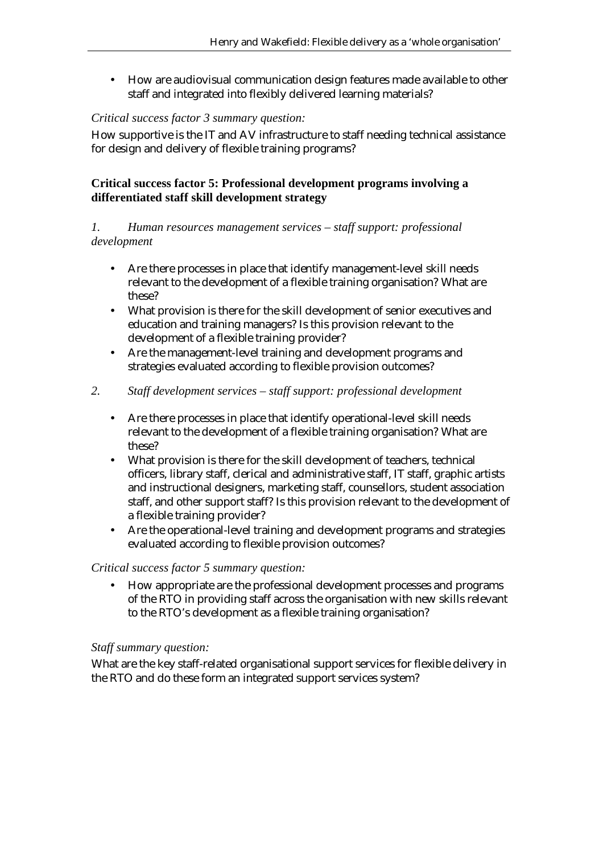• How are audiovisual communication design features made available to other staff and integrated into flexibly delivered learning materials?

#### *Critical success factor 3 summary question:*

How supportive is the IT and AV infrastructure to staff needing technical assistance for design and delivery of flexible training programs?

#### **Critical success factor 5: Professional development programs involving a differentiated staff skill development strategy**

#### *1. Human resources management services – staff support: professional development*

- Are there processes in place that identify management-level skill needs relevant to the development of a flexible training organisation? What are these?
- What provision is there for the skill development of senior executives and education and training managers? Is this provision relevant to the development of a flexible training provider?
- Are the management-level training and development programs and strategies evaluated according to flexible provision outcomes?

#### *2. Staff development services – staff support: professional development*

- Are there processes in place that identify operational-level skill needs relevant to the development of a flexible training organisation? What are these?
- What provision is there for the skill development of teachers, technical officers, library staff, clerical and administrative staff, IT staff, graphic artists and instructional designers, marketing staff, counsellors, student association staff, and other support staff? Is this provision relevant to the development of a flexible training provider?
- Are the operational-level training and development programs and strategies evaluated according to flexible provision outcomes?

#### *Critical success factor 5 summary question:*

• How appropriate are the professional development processes and programs of the RTO in providing staff across the organisation with new skills relevant to the RTO's development as a flexible training organisation?

#### *Staff summary question:*

What are the key staff-related organisational support services for flexible delivery in the RTO and do these form an integrated support services system?